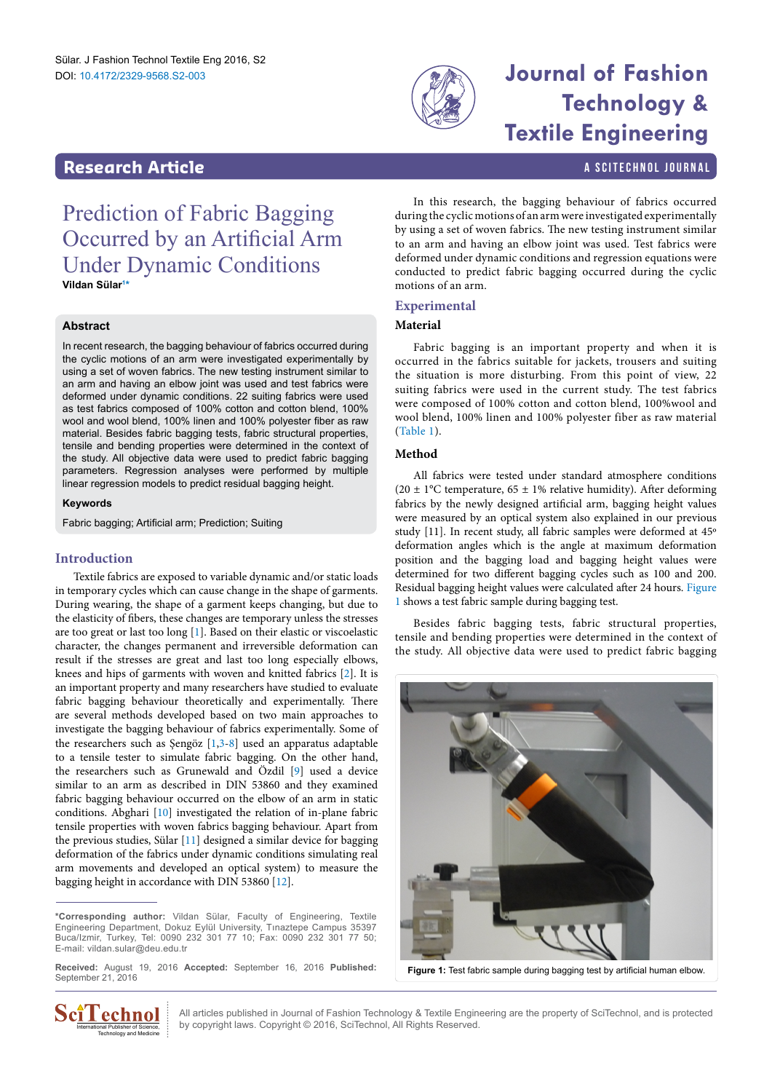

# **Technology & Textile Engineering**

# <span id="page-0-2"></span>**Research Article a Scittering Control in the Scittering Control in the Scittering A Scittering Library and Scittering Library and Scittering Library and Scittering Library and Scittering Library and Scittering Library a**

Prediction of Fabric Bagging Occurred by an Artificial Arm Under Dynamic Conditions **Vildan Süla[r1](#page-2-0) [\\*](#page-0-0)**

## **Abstract**

In recent research, the bagging behaviour of fabrics occurred during the cyclic motions of an arm were investigated experimentally by using a set of woven fabrics. The new testing instrument similar to an arm and having an elbow joint was used and test fabrics were deformed under dynamic conditions. 22 suiting fabrics were used as test fabrics composed of 100% cotton and cotton blend, 100% wool and wool blend, 100% linen and 100% polyester fiber as raw material. Besides fabric bagging tests, fabric structural properties, tensile and bending properties were determined in the context of the study. All objective data were used to predict fabric bagging parameters. Regression analyses were performed by multiple linear regression models to predict residual bagging height.

#### **Keywords**

Fabric bagging; Artificial arm; Prediction; Suiting

# **Introduction**

Textile fabrics are exposed to variable dynamic and/or static loads in temporary cycles which can cause change in the shape of garments. During wearing, the shape of a garment keeps changing, but due to the elasticity of fibers, these changes are temporary unless the stresses are too great or last too long [[1](#page-2-1)]. Based on their elastic or viscoelastic character, the changes permanent and irreversible deformation can result if the stresses are great and last too long especially elbows, knees and hips of garments with woven and knitted fabrics [\[2\]](#page-2-2). It is an important property and many researchers have studied to evaluate fabric bagging behaviour theoretically and experimentally. There are several methods developed based on two main approaches to investigate the bagging behaviour of fabrics experimentally. Some of the researchers such as Şengöz [[1](#page-2-1)[,3](#page-2-3)-[8\]](#page-2-4) used an apparatus adaptable to a tensile tester to simulate fabric bagging. On the other hand, the researchers such as Grunewald and Özdil [[9](#page-2-5)] used a device similar to an arm as described in DIN 53860 and they examined fabric bagging behaviour occurred on the elbow of an arm in static conditions. Abghari [\[10\]](#page-2-6) investigated the relation of in-plane fabric tensile properties with woven fabrics bagging behaviour. Apart from the previous studies, Sülar [[11](#page-2-7)] designed a similar device for bagging deformation of the fabrics under dynamic conditions simulating real arm movements and developed an optical system) to measure the bagging height in accordance with DIN 53860 [[12\]](#page-2-8).

In this research, the bagging behaviour of fabrics occurred during the cyclic motions of an arm were investigated experimentally by using a set of woven fabrics. The new testing instrument similar to an arm and having an elbow joint was used. Test fabrics were deformed under dynamic conditions and regression equations were conducted to predict fabric bagging occurred during the cyclic motions of an arm.

# **Experimental**

### **Material**

Fabric bagging is an important property and when it is occurred in the fabrics suitable for jackets, trousers and suiting the situation is more disturbing. From this point of view, 22 suiting fabrics were used in the current study. The test fabrics were composed of 100% cotton and cotton blend, 100%wool and wool blend, 100% linen and 100% polyester fiber as raw material ([Table 1](#page-1-0)).

### **Method**

All fabrics were tested under standard atmosphere conditions (20  $\pm$  1°C temperature, 65  $\pm$  1% relative humidity). After deforming fabrics by the newly designed artificial arm, bagging height values were measured by an optical system also explained in our previous study [11]. In recent study, all fabric samples were deformed at 45º deformation angles which is the angle at maximum deformation position and the bagging load and bagging height values were determined for two different bagging cycles such as 100 and 200. Residual bagging height values were calculated after 24 hours. [Figure](#page-0-1)  [1](#page-0-1) shows a test fabric sample during bagging test.

Besides fabric bagging tests, fabric structural properties, tensile and bending properties were determined in the context of the study. All objective data were used to predict fabric bagging

<span id="page-0-1"></span>



All articles published in Journal of Fashion Technology & Textile Engineering are the property of SciTechnol, and is protected by copyright laws. Copyright © 2016, SciTechnol, All Rights Reserved.

<span id="page-0-0"></span>**<sup>\*</sup>Corresponding author:** Vildan Sülar, Faculty of Engineering, Textile Engineering Department, Dokuz Eylül University, Tınaztepe Campus 35397 Buca/Izmir, Turkey, Tel: 0090 232 301 77 10; Fax: 0090 232 301 77 50; E-mail: vildan.sular@deu.edu.tr

**Received:** August 19, 2016 **Accepted:** September 16, 2016 **Published:** September 21, 2016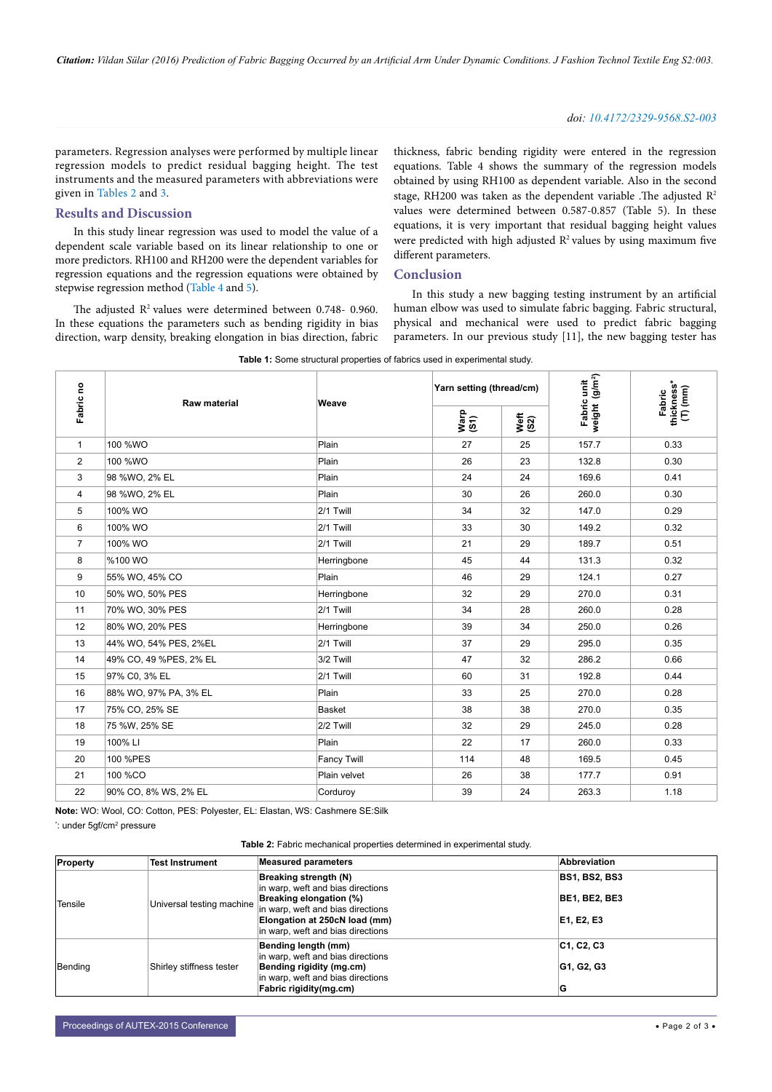#### *doi: 10.4172/2329-9568.S2-003*

parameters. Regression analyses were performed by multiple linear regression models to predict residual bagging height. The test instruments and the measured parameters with abbreviations were given in [Tables 2](#page-1-1) and [3](#page-2-9).

#### **Results and Discussion**

In this study linear regression was used to model the value of a dependent scale variable based on its linear relationship to one or more predictors. RH100 and RH200 were the dependent variables for regression equations and the regression equations were obtained by stepwise regression method ([Table 4](#page-2-10) and [5](#page-2-11)).

The adjusted R<sup>2</sup> values were determined between 0.748- 0.960. In these equations the parameters such as bending rigidity in bias direction, warp density, breaking elongation in bias direction, fabric thickness, fabric bending rigidity were entered in the regression equations. Table 4 shows the summary of the regression models obtained by using RH100 as dependent variable. Also in the second stage, RH200 was taken as the dependent variable .The adjusted R2 values were determined between 0.587-0.857 (Table 5). In these equations, it is very important that residual bagging height values were predicted with high adjusted  $\mathbb{R}^2$  values by using maximum five different parameters.

# **Conclusion**

In this study a new bagging testing instrument by an artificial human elbow was used to simulate fabric bagging. Fabric structural, physical and mechanical were used to predict fabric bagging parameters. In our previous study [11], the new bagging tester has

| Fabric no      | <b>Raw material</b>    | Weave              | Yarn setting (thread/cm) |              | weight (g/m <sup>2</sup> )<br>Fabric unit | Fabric<br>thickness*<br>(T) (mm) |
|----------------|------------------------|--------------------|--------------------------|--------------|-------------------------------------------|----------------------------------|
|                |                        |                    | Warp<br>(S1)             | Veft<br>(S2) |                                           |                                  |
| 1              | 100 %WO                | Plain              | 27                       | 25           | 157.7                                     | 0.33                             |
| $\overline{2}$ | 100 %WO                | Plain              | 26                       | 23           | 132.8                                     | 0.30                             |
| 3              | 98 %WO, 2% EL          | Plain              | 24                       | 24           | 169.6                                     | 0.41                             |
| 4              | 98 %WO, 2% EL          | Plain              | 30                       | 26           | 260.0                                     | 0.30                             |
| 5              | 100% WO                | 2/1 Twill          | 34                       | 32           | 147.0                                     | 0.29                             |
| 6              | 100% WO                | 2/1 Twill          | 33                       | 30           | 149.2                                     | 0.32                             |
| $\overline{7}$ | 100% WO                | 2/1 Twill          | 21                       | 29           | 189.7                                     | 0.51                             |
| 8              | %100 WO                | Herringbone        | 45                       | 44           | 131.3                                     | 0.32                             |
| 9              | 55% WO, 45% CO         | Plain              | 46                       | 29           | 124.1                                     | 0.27                             |
| 10             | 50% WO, 50% PES        | Herringbone        | 32                       | 29           | 270.0                                     | 0.31                             |
| 11             | 70% WO, 30% PES        | 2/1 Twill          | 34                       | 28           | 260.0                                     | 0.28                             |
| 12             | 80% WO, 20% PES        | Herringbone        | 39                       | 34           | 250.0                                     | 0.26                             |
| 13             | 44% WO, 54% PES, 2%EL  | 2/1 Twill          | 37                       | 29           | 295.0                                     | 0.35                             |
| 14             | 49% CO, 49 %PES, 2% EL | 3/2 Twill          | 47                       | 32           | 286.2                                     | 0.66                             |
| 15             | 97% C0, 3% EL          | 2/1 Twill          | 60                       | 31           | 192.8                                     | 0.44                             |
| 16             | 88% WO, 97% PA, 3% EL  | Plain              | 33                       | 25           | 270.0                                     | 0.28                             |
| 17             | 75% CO, 25% SE         | Basket             | 38                       | 38           | 270.0                                     | 0.35                             |
| 18             | 75 %W, 25% SE          | 2/2 Twill          | 32                       | 29           | 245.0                                     | 0.28                             |
| 19             | 100% LI                | Plain              | 22                       | 17           | 260.0                                     | 0.33                             |
| 20             | 100 %PES               | <b>Fancy Twill</b> | 114                      | 48           | 169.5                                     | 0.45                             |
| 21             | 100 %CO                | Plain velvet       | 26                       | 38           | 177.7                                     | 0.91                             |
| 22             | 90% CO, 8% WS, 2% EL   | Corduroy           | 39                       | 24           | 263.3                                     | 1.18                             |

<span id="page-1-0"></span>**Table 1:** Some structural properties of fabrics used in experimental study.

**Note:** WO: Wool, CO: Cotton, PES: Polyester, EL: Elastan, WS: Cashmere SE:Silk

\*: under 5gf/cm² pressure

**Table 2:** Fabric mechanical properties determined in experimental study.

<span id="page-1-1"></span>

| Property | <b>Test Instrument</b>    | <b>Measured parameters</b>                                                                                                                                                                       | <b>Abbreviation</b>                                        |
|----------|---------------------------|--------------------------------------------------------------------------------------------------------------------------------------------------------------------------------------------------|------------------------------------------------------------|
| Tensile  | Universal testing machine | Breaking strength (N)<br>in warp, weft and bias directions<br>Breaking elongation (%)<br>in warp, weft and bias directions<br>Elongation at 250cN load (mm)<br>in warp, weft and bias directions | <b>BS1, BS2, BS3</b><br><b>BE1, BE2, BE3</b><br>E1, E2, E3 |
|          |                           | Bending length (mm)                                                                                                                                                                              | C1, C2, C3                                                 |
| Bending  | Shirley stiffness tester  | in warp, weft and bias directions<br>Bending rigidity (mg.cm)<br>in warp, weft and bias directions<br>Fabric rigidity(mg.cm)                                                                     | G1, G2, G3<br>G                                            |